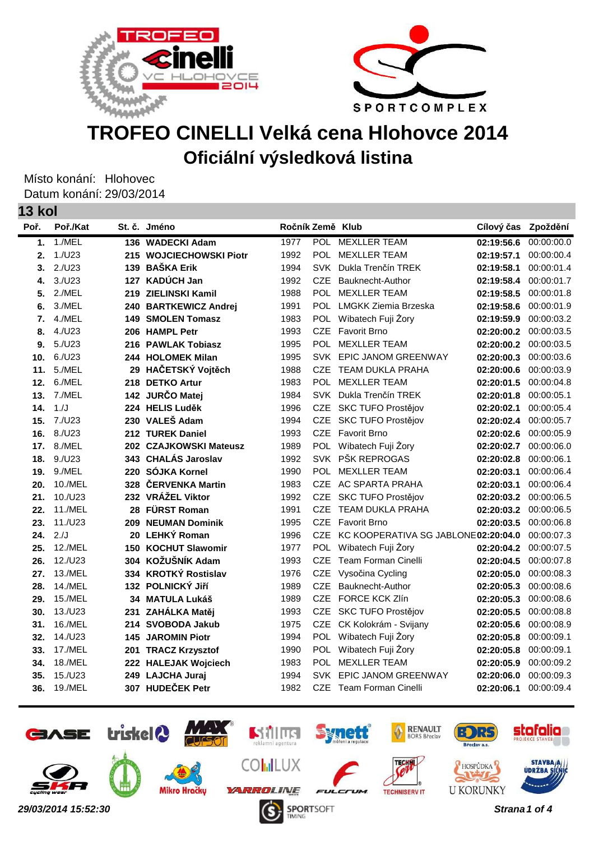



## **TROFEO CINELLI Velká cena Hlohovce 2014 Oficiální výsledková listina**

Místo konání: Hlohovec Datum konání: 29/03/2014 **13 kol**

| INVI |          |     |                            |                  |            |                                     |                     |            |
|------|----------|-----|----------------------------|------------------|------------|-------------------------------------|---------------------|------------|
| Poř. | Poř./Kat |     | St. č. Jméno               | Ročník Země Klub |            |                                     | Cílový čas Zpoždění |            |
| 1.   | 1./MEL   |     | 136 WADECKI Adam           | 1977             |            | POL MEXLLER TEAM                    | 02:19:56.6          | 00:00:00.0 |
| 2.   | 1./U23   |     | 215 WOJCIECHOWSKI Piotr    | 1992             |            | POL MEXLLER TEAM                    | 02:19:57.1          | 00:00:00.4 |
| 3.   | 2./U23   |     | 139 BAŠKA Erik             | 1994             | <b>SVK</b> | Dukla Trenčín TREK                  | 02:19:58.1          | 00:00:01.4 |
| 4.   | 3./U23   |     | 127 KADÚCH Jan             | 1992             | <b>CZE</b> | Bauknecht-Author                    | 02:19:58.4          | 00:00:01.7 |
| 5.   | 2./MEL   |     | 219 ZIELINSKI Kamil        | 1988             | <b>POL</b> | <b>MEXLLER TEAM</b>                 | 02:19:58.5          | 00:00:01.8 |
| 6.   | 3./MEL   |     | 240 BARTKEWICZ Andrej      | 1991             |            | POL LMGKK Ziemia Brzeska            | 02:19:58.6          | 00:00:01.9 |
| 7.   | 4./MEL   |     | <b>149 SMOLEN Tomasz</b>   | 1983             |            | POL Wibatech Fuji Żory              | 02:19:59.9          | 00:00:03.2 |
| 8.   | 4./U23   |     | 206 HAMPL Petr             | 1993             |            | CZE Favorit Brno                    | 02:20:00.2          | 00:00:03.5 |
| 9.   | 5./U23   |     | 216 PAWLAK Tobiasz         | 1995             | <b>POL</b> | <b>MEXLLER TEAM</b>                 | 02:20:00.2          | 00:00:03.5 |
| 10.  | 6./U23   |     | 244 HOLOMEK Milan          | 1995             |            | SVK EPIC JANOM GREENWAY             | 02:20:00.3          | 00:00:03.6 |
| 11.  | 5./MEL   |     | 29 HAČETSKÝ Vojtěch        | 1988             | <b>CZE</b> | TEAM DUKLA PRAHA                    | 02:20:00.6          | 00:00:03.9 |
| 12.  | 6./MEL   |     | 218 DETKO Artur            | 1983             |            | POL MEXLLER TEAM                    | 02:20:01.5          | 00:00:04.8 |
| 13.  | 7./MEL   |     | 142 JURČO Matej            | 1984             |            | SVK Dukla Trenčín TREK              | 02:20:01.8          | 00:00:05.1 |
| 14.  | 1./J     |     | 224 HELIS Luděk            | 1996             |            | CZE SKC TUFO Prostějov              | 02:20:02.1          | 00:00:05.4 |
| 15.  | 7./U23   |     | 230 VALEŠ Adam             | 1994             |            | CZE SKC TUFO Prostějov              | 02:20:02.4          | 00:00:05.7 |
| 16.  | 8./U23   |     | 212 TUREK Daniel           | 1993             | <b>CZE</b> | <b>Favorit Brno</b>                 | 02:20:02.6          | 00:00:05.9 |
| 17.  | 8./MEL   |     | 202 CZAJKOWSKI Mateusz     | 1989             |            | POL Wibatech Fuji Żory              | 02:20:02.7          | 00:00:06.0 |
| 18.  | 9./U23   |     | 343 CHALÁS Jaroslav        | 1992             |            | SVK PŠK REPROGAS                    | 02:20:02.8          | 00:00:06.1 |
| 19.  | 9./MEL   |     | 220 SÓJKA Kornel           | 1990             |            | POL MEXLLER TEAM                    | 02:20:03.1          | 00:00:06.4 |
| 20.  | 10./MEL  |     | 328 ČERVENKA Martin        | 1983             |            | CZE AC SPARTA PRAHA                 | 02:20:03.1          | 00:00:06.4 |
| 21.  | 10./U23  |     | 232 VRÁŽEL Viktor          | 1992             | <b>CZE</b> | SKC TUFO Prostějov                  | 02:20:03.2          | 00:00:06.5 |
| 22.  | 11./MEL  |     | 28 FÜRST Roman             | 1991             | <b>CZE</b> | <b>TEAM DUKLA PRAHA</b>             | 02:20:03.2          | 00:00:06.5 |
| 23.  | 11./U23  |     | 209 NEUMAN Dominik         | 1995             | <b>CZE</b> | Favorit Brno                        | 02:20:03.5          | 00:00:06.8 |
| 24.  | 2JJ      |     | 20 LEHKÝ Roman             | 1996             | CZE        | KC KOOPERATIVA SG JABLONE02:20:04.0 |                     | 00:00:07.3 |
| 25.  | 12./MEL  |     | <b>150 KOCHUT Slawomir</b> | 1977             |            | POL Wibatech Fuji Zory              | 02:20:04.2          | 00:00:07.5 |
| 26.  | 12./U23  |     | 304 KOŽUŠNÍK Adam          | 1993             | <b>CZE</b> | Team Forman Cinelli                 | 02:20:04.5          | 00:00:07.8 |
| 27.  | 13./MEL  |     | 334 KROTKÝ Rostislav       | 1976             | <b>CZE</b> | Vysočina Cycling                    | 02:20:05.0          | 00:00:08.3 |
| 28.  | 14./MEL  |     | 132 POLNICKÝ JIří          | 1989             | <b>CZE</b> | Bauknecht-Author                    | 02:20:05.3          | 00:00:08.6 |
| 29.  | 15./MEL  |     | 34 MATULA Lukáš            | 1989             | <b>CZE</b> | <b>FORCE KCK Zlín</b>               | 02:20:05.3          | 00:00:08.6 |
| 30.  | 13./U23  | 231 | ZAHÁLKA Matěj              | 1993             |            | CZE SKC TUFO Prostějov              | 02:20:05.5          | 00:00:08.8 |
| 31.  | 16./MEL  |     | 214 SVOBODA Jakub          | 1975             |            | CZE CK Kolokrám - Svijany           | 02:20:05.6          | 00:00:08.9 |
| 32.  | 14./U23  |     | <b>145 JAROMIN Piotr</b>   | 1994             |            | POL Wibatech Fuji Żory              | 02:20:05.8          | 00:00:09.1 |
| 33.  | 17./MEL  |     | 201 TRACZ Krzysztof        | 1990             |            | POL Wibatech Fuji Żory              | 02:20:05.8          | 00:00:09.1 |
| 34.  | 18./MEL  |     | 222 HALEJAK Wojciech       | 1983             |            | POL MEXLLER TEAM                    | 02:20:05.9          | 00:00:09.2 |
| 35.  | 15./U23  |     | 249 LAJCHA Juraj           | 1994             |            | SVK EPIC JANOM GREENWAY             | 02:20:06.0          | 00:00:09.3 |
| 36.  | 19./MEL  |     | 307 HUDEČEK Petr           | 1982             |            | CZE Team Forman Cinelli             | 02:20:06.1          | 00:00:09.4 |
|      |          |     |                            |                  |            |                                     |                     |            |

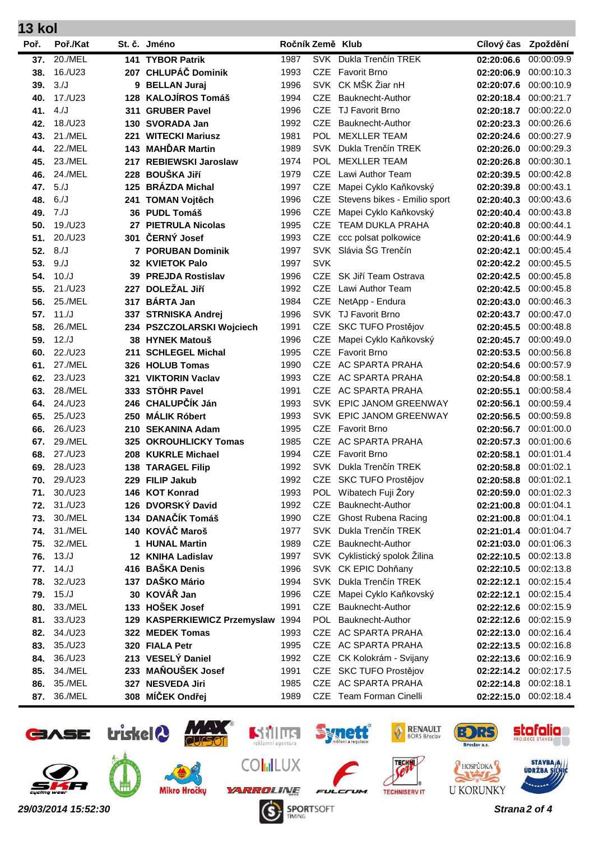|      | IJ KOI         |     |                                   |                  |            |                               |            |            |  |
|------|----------------|-----|-----------------------------------|------------------|------------|-------------------------------|------------|------------|--|
| Poř. | Poř./Kat       |     | St. č. Jméno                      | Ročník Země Klub |            |                               | Cílový čas | Zpoždění   |  |
| 37.  | 20./MEL        |     | <b>141 TYBOR Patrik</b>           | 1987             |            | SVK Dukla Trenčín TREK        | 02:20:06.6 | 00:00:09.9 |  |
| 38.  | 16./U23        |     | 207 CHLUPÁČ Dominik               | 1993             | <b>CZE</b> | <b>Favorit Brno</b>           | 02:20:06.9 | 00:00:10.3 |  |
| 39.  | 3./J           |     | 9 BELLAN Juraj                    | 1996             |            | SVK CK MŠK Žiar nH            | 02:20:07.6 | 00:00:10.9 |  |
| 40.  | 17./U23        | 128 | <b>KALOJÍROS Tomáš</b>            | 1994             | <b>CZE</b> | Bauknecht-Author              | 02:20:18.4 | 00:00:21.7 |  |
| 41.  | 4./J           | 311 | <b>GRUBER Pavel</b>               | 1996             | <b>CZE</b> | <b>TJ Favorit Brno</b>        | 02:20:18.7 | 00:00:22.0 |  |
| 42.  | 18./U23        | 130 | <b>SVORADA Jan</b>                | 1992             | <b>CZE</b> | Bauknecht-Author              | 02:20:23.3 | 00:00:26.6 |  |
| 43.  | 21./MEL        | 221 | <b>WITECKI Mariusz</b>            | 1981             | <b>POL</b> | <b>MEXLLER TEAM</b>           | 02:20:24.6 | 00:00:27.9 |  |
| 44.  | <b>22./MEL</b> | 143 | <b>MAHĎAR Martin</b>              | 1989             | <b>SVK</b> | Dukla Trenčín TREK            | 02:20:26.0 | 00:00:29.3 |  |
| 45.  | 23./MEL        | 217 | <b>REBIEWSKI Jaroslaw</b>         | 1974             | <b>POL</b> | <b>MEXLLER TEAM</b>           | 02:20:26.8 | 00:00:30.1 |  |
| 46.  | 24./MEL        | 228 | <b>BOUŠKA JIří</b>                | 1979             | <b>CZE</b> | Lawi Author Team              | 02:20:39.5 | 00:00:42.8 |  |
| 47.  | 5./J           | 125 | <b>BRÁZDA Michal</b>              | 1997             | <b>CZE</b> | Mapei Cyklo Kaňkovský         | 02:20:39.8 | 00:00:43.1 |  |
| 48.  | 6./J           |     | 241 TOMAN Vojtěch                 | 1996             | <b>CZE</b> | Stevens bikes - Emilio sport  | 02:20:40.3 | 00:00:43.6 |  |
| 49.  | 7J             |     | 36 PUDL Tomáš                     | 1996             | <b>CZE</b> | Mapei Cyklo Kaňkovský         | 02:20:40.4 | 00:00:43.8 |  |
| 50.  | 19./U23        | 27  | <b>PIETRULA Nicolas</b>           | 1995             | <b>CZE</b> | TEAM DUKLA PRAHA              | 02:20:40.8 | 00:00:44.1 |  |
| 51.  | 20./U23        | 301 | ČERNÝ Josef                       | 1993             | <b>CZE</b> | ccc polsat polkowice          | 02:20:41.6 | 00:00:44.9 |  |
| 52.  | 8./J           |     | 7 PORUBAN Dominik                 | 1997             |            | SVK Slávia ŠG Trenčín         | 02:20:42.1 | 00:00:45.4 |  |
| 53.  | 9./J           |     | 32 KVIETOK Palo                   | 1997             | <b>SVK</b> |                               | 02:20:42.2 | 00:00:45.5 |  |
| 54.  | 10./J          |     | 39 PREJDA Rostislav               | 1996             | <b>CZE</b> | SK Jiří Team Ostrava          | 02:20:42.5 | 00:00:45.8 |  |
| 55.  | 21./U23        | 227 | <b>DOLEŽAL Jiří</b>               | 1992             | <b>CZE</b> | Lawi Author Team              | 02:20:42.5 | 00:00:45.8 |  |
| 56.  | 25./MEL        | 317 | <b>BÁRTA Jan</b>                  | 1984             | <b>CZE</b> | NetApp - Endura               | 02:20:43.0 | 00:00:46.3 |  |
| 57.  | 11./J          |     | 337 STRNISKA Andrej               | 1996             |            | SVK TJ Favorit Brno           | 02:20:43.7 | 00:00:47.0 |  |
| 58.  | 26./MEL        |     | 234 PSZCZOLARSKI Wojciech         | 1991             | <b>CZE</b> | SKC TUFO Prostějov            | 02:20:45.5 | 00:00:48.8 |  |
| 59.  | 12./J          | 38  | <b>HYNEK Matouš</b>               | 1996             | <b>CZE</b> | Mapei Cyklo Kaňkovský         | 02:20:45.7 | 00:00:49.0 |  |
| 60.  | 22./U23        | 211 | <b>SCHLEGEL Michal</b>            | 1995             | <b>CZE</b> | <b>Favorit Brno</b>           | 02:20:53.5 | 00:00:56.8 |  |
| 61.  | 27./MEL        | 326 | <b>HOLUB Tomas</b>                | 1990             | <b>CZE</b> | AC SPARTA PRAHA               | 02:20:54.6 | 00:00:57.9 |  |
| 62.  | 23./U23        | 321 | <b>VIKTORIN Vaclav</b>            | 1993             | <b>CZE</b> | AC SPARTA PRAHA               | 02:20:54.8 | 00:00:58.1 |  |
| 63.  | 28./MEL        |     | 333 STÖHR Pavel                   | 1991             | <b>CZE</b> | AC SPARTA PRAHA               | 02:20:55.1 | 00:00:58.4 |  |
| 64.  | 24./U23        |     | 246 CHALUPČÍK Ján                 | 1993             | SVK        | EPIC JANOM GREENWAY           | 02:20:56.1 | 00:00:59.4 |  |
| 65.  | 25./U23        |     | 250 MÁLIK Róbert                  | 1993             |            | SVK EPIC JANOM GREENWAY       | 02:20:56.5 | 00:00:59.8 |  |
| 66.  | 26./U23        |     | 210 SEKANINA Adam                 | 1995             | <b>CZE</b> | <b>Favorit Brno</b>           | 02:20:56.7 | 00:01:00.0 |  |
| 67.  | 29./MEL        | 325 | <b>OKROUHLICKY Tomas</b>          | 1985             | <b>CZE</b> | <b>AC SPARTA PRAHA</b>        | 02:20:57.3 | 00:01:00.6 |  |
| 68.  | 27./U23        |     | 208 KUKRLE Michael                | 1994             | <b>CZE</b> | <b>Favorit Brno</b>           | 02:20:58.1 | 00:01:01.4 |  |
| 69.  | 28./U23        |     | <b>138 TARAGEL Filip</b>          | 1992             |            | SVK Dukla Trenčín TREK        | 02:20:58.8 | 00:01:02.1 |  |
| 70.  | 29./U23        |     | 229 FILIP Jakub                   | 1992             |            | CZE SKC TUFO Prostějov        | 02:20:58.8 | 00:01:02.1 |  |
| 71.  | 30./U23        |     | 146 KOT Konrad                    | 1993             |            | POL Wibatech Fuji Żory        | 02:20:59.0 | 00:01:02.3 |  |
| 72.  | 31./U23        |     | 126 DVORSKÝ David                 | 1992             | <b>CZE</b> | Bauknecht-Author              | 02:21:00.8 | 00:01:04.1 |  |
| 73.  | 30./MEL        |     | 134 DANAČÍK Tomáš                 | 1990             |            | CZE Ghost Rubena Racing       | 02:21:00.8 | 00:01:04.1 |  |
| 74.  | 31./MEL        |     | 140 KOVÁČ Maroš                   | 1977             |            | SVK Dukla Trenčín TREK        | 02:21:01.4 | 00:01:04.7 |  |
| 75.  | 32./MEL        | 1.  | <b>HUNAL Martin</b>               | 1989             |            | CZE Bauknecht-Author          | 02:21:03.0 | 00:01:06.3 |  |
| 76.  | 13./J          |     | 12 KNIHA Ladislav                 | 1997             |            | SVK Cyklistický spolok Žilina | 02:22:10.5 | 00:02:13.8 |  |
| 77.  | 14./J          |     | 416 BAŠKA Denis                   | 1996             |            | SVK CK EPIC Dohňany           | 02:22:10.5 | 00:02:13.8 |  |
| 78.  | 32./U23        |     | 137 DAŠKO Mário                   | 1994             |            | SVK Dukla Trenčín TREK        | 02:22:12.1 | 00:02:15.4 |  |
| 79.  | 15./J          |     | 30 KOVÁŘ Jan                      | 1996             | <b>CZE</b> | Mapei Cyklo Kaňkovský         | 02:22:12.1 | 00:02:15.4 |  |
| 80.  | 33./MEL        |     | 133 HOŠEK Josef                   | 1991             | <b>CZE</b> | Bauknecht-Author              | 02:22:12.6 | 00:02:15.9 |  |
| 81.  | 33./U23        |     | 129 KASPERKIEWICZ Przemyslaw 1994 |                  |            | POL Bauknecht-Author          | 02:22:12.6 | 00:02:15.9 |  |
| 82.  | 34./U23        |     | 322 MEDEK Tomas                   | 1993             | <b>CZE</b> | AC SPARTA PRAHA               | 02:22:13.0 | 00:02:16.4 |  |
| 83.  | 35./U23        |     | 320 FIALA Petr                    | 1995             |            | CZE AC SPARTA PRAHA           | 02:22:13.5 | 00:02:16.8 |  |
| 84.  | 36./U23        |     | 213 VESELÝ Daniel                 | 1992             | CZE        | CK Kolokrám - Svijany         | 02:22:13.6 | 00:02:16.9 |  |
| 85.  | 34./MEL        |     | 233 MAŇOUŠEK Josef                | 1991             |            | CZE SKC TUFO Prostějov        | 02:22:14.2 | 00:02:17.5 |  |
| 86.  | 35./MEL        |     | 327 NESVEDA Jiri                  | 1985             | <b>CZE</b> | AC SPARTA PRAHA               | 02:22:14.8 | 00:02:18.1 |  |
| 87.  | 36./MEL        |     | 308 MÍČEK Ondřej                  | 1989             |            | CZE Team Forman Cinelli       | 02:22:15.0 | 00:02:18.4 |  |

**13 kol**

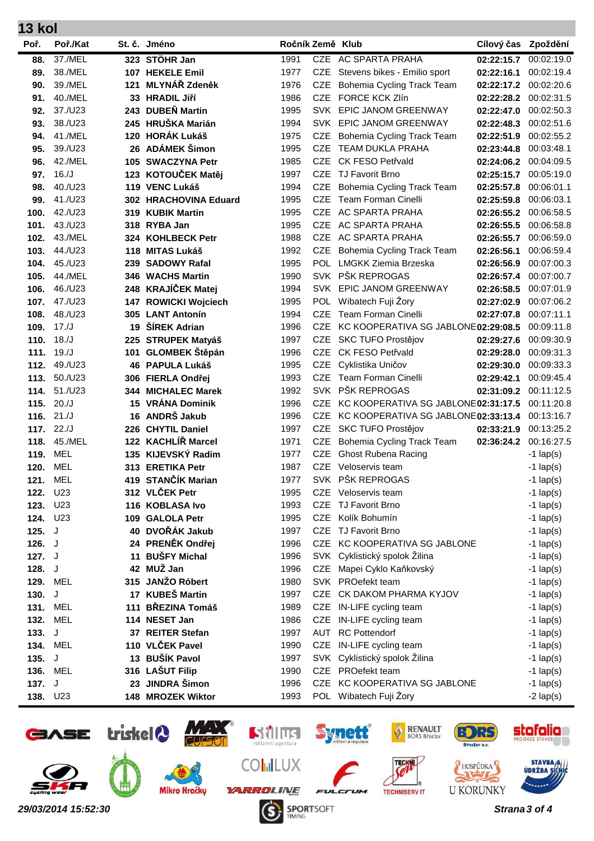| 13 kol   |                 |     |                                     |                  |            |                                     |            |             |
|----------|-----------------|-----|-------------------------------------|------------------|------------|-------------------------------------|------------|-------------|
| Poř.     | Poř./Kat        |     | St. č. Jméno                        | Ročník Země Klub |            |                                     | Cílový čas | Zpoždění    |
| 88.      | 37./MEL         |     | 323 STÖHR Jan                       | 1991             |            | CZE AC SPARTA PRAHA                 | 02:22:15.7 | 00:02:19.0  |
| 89.      | 38./MEL         |     | 107 HEKELE Emil                     | 1977             |            | CZE Stevens bikes - Emilio sport    | 02:22:16.1 | 00:02:19.4  |
| 90.      | 39./MEL         |     | 121 MLYNÁŘ Zdeněk                   | 1976             | <b>CZE</b> | Bohemia Cycling Track Team          | 02:22:17.2 | 00:02:20.6  |
| 91.      | 40./MEL         |     | 33 HRADIL Jiří                      | 1986             | <b>CZE</b> | <b>FORCE KCK Zlín</b>               | 02:22:28.2 | 00:02:31.5  |
| 92.      | 37./U23         |     | 243 DUBEŇ Martin                    | 1995             |            | SVK EPIC JANOM GREENWAY             | 02:22:47.0 | 00:02:50.3  |
| 93.      | 38./U23         |     | 245 HRUŠKA Marián                   | 1994             |            | SVK EPIC JANOM GREENWAY             | 02:22:48.3 | 00:02:51.6  |
| 94.      | 41./MEL         |     | 120 HORÁK Lukáš                     | 1975             | <b>CZE</b> | Bohemia Cycling Track Team          | 02:22:51.9 | 00:02:55.2  |
| 95.      | 39./U23         |     | 26 ADÁMEK Šimon                     | 1995             | CZE        | TEAM DUKLA PRAHA                    | 02:23:44.8 | 00:03:48.1  |
| 96.      | 42./MEL         |     | 105 SWACZYNA Petr                   | 1985             | <b>CZE</b> | <b>CK FESO Petřvald</b>             | 02:24:06.2 | 00:04:09.5  |
| 97.      | 16./J           |     | 123 KOTOUČEK Matěj                  | 1997             | <b>CZE</b> | TJ Favorit Brno                     | 02:25:15.7 | 00:05:19.0  |
| 98.      | 40./U23         |     | 119 VENC Lukáš                      | 1994             | <b>CZE</b> | Bohemia Cycling Track Team          | 02:25:57.8 | 00:06:01.1  |
| 99.      | 41./U23         |     | 302 HRACHOVINA Eduard               | 1995             | CZE        | <b>Team Forman Cinelli</b>          | 02:25:59.8 | 00:06:03.1  |
| 100.     | 42./U23         |     | 319 KUBIK Martin                    | 1995             | CZE        | AC SPARTA PRAHA                     | 02:26:55.2 | 00:06:58.5  |
| 101.     | 43./U23         |     | 318 RYBA Jan                        | 1995             | CZE        | AC SPARTA PRAHA                     | 02:26:55.5 | 00:06:58.8  |
| 102.     | 43./MEL         |     | 324 KOHLBECK Petr                   | 1988             |            | CZE AC SPARTA PRAHA                 | 02:26:55.7 | 00:06:59.0  |
| 103.     | 44./U23         |     | 118 MITAS Lukáš                     | 1992             | CZE        | <b>Bohemia Cycling Track Team</b>   | 02:26:56.1 | 00:06:59.4  |
| 104.     | 45./U23         |     | 239 SADOWY Rafal                    | 1995             |            | POL LMGKK Ziemia Brzeska            | 02:26:56.9 | 00:07:00.3  |
| 105.     | 44./MEL         |     | 346 WACHS Martin                    | 1990             |            | SVK PŠK REPROGAS                    | 02:26:57.4 | 00:07:00.7  |
| 106.     | 46./U23         |     | 248 KRAJÍČEK Matej                  | 1994             |            | SVK EPIC JANOM GREENWAY             | 02:26:58.5 | 00:07:01.9  |
| 107.     | 47./U23         |     | 147 ROWICKI Wojciech                | 1995             |            | POL Wibatech Fuji Żory              | 02:27:02.9 | 00:07:06.2  |
| 108.     | 48./U23         |     | 305 LANT Antonín                    | 1994             | <b>CZE</b> | Team Forman Cinelli                 | 02:27:07.8 | 00:07:11.1  |
| 109.     | 17./J           | 19  | ŠÍREK Adrian                        | 1996             | CZE.       | KC KOOPERATIVA SG JABLONE02:29:08.5 |            | 00:09:11.8  |
| 110.     | 18./J           |     | 225 STRUPEK Matyáš                  | 1997             |            | CZE SKC TUFO Prostějov              | 02:29:27.6 | 00:09:30.9  |
| 111.     | 19./J           |     | 101 GLOMBEK Štěpán                  | 1996             |            | CZE CK FESO Petřvald                | 02:29:28.0 | 00:09:31.3  |
| 112.     | 49./U23         |     | 46 PAPULA Lukáš                     | 1995             | <b>CZE</b> | Cyklistika Uničov                   | 02:29:30.0 | 00:09:33.3  |
| 113.     | 50./U23         |     | 306 FIERLA Ondřej                   | 1993             | <b>CZE</b> | Team Forman Cinelli                 | 02:29:42.1 | 00:09:45.4  |
| 114.     | 51./U23         | 344 | <b>MICHALEC Marek</b>               | 1992             | <b>SVK</b> | PŠK REPROGAS                        | 02:31:09.2 | 00:11:12.5  |
| 115.     | 20./J           | 15  | <b>VRÁNA Dominik</b>                | 1996             | CZE        | KC KOOPERATIVA SG JABLONE02:31:17.5 |            | 00:11:20.8  |
| 116.     | 21/J            | 16  | ANDRŠ Jakub                         | 1996             | <b>CZE</b> | KC KOOPERATIVA SG JABLONE02:33:13.4 |            | 00:13:16.7  |
| 117.     | 22J             |     | 226 CHYTIL Daniel                   | 1997             | CZE        | SKC TUFO Prostějov                  | 02:33:21.9 | 00:13:25.2  |
| 118.     | 45./MEL         |     | 122 KACHLÍŘ Marcel                  | 1971             | CZE        | Bohemia Cycling Track Team          | 02:36:24.2 | 00:16:27.5  |
| 119.     | MEL             |     | 135 KIJEVSKÝ Radim                  | 1977             |            | CZE Ghost Rubena Racing             |            | $-1$ lap(s) |
| 120.     | MEL             |     | 313 ERETIKA Petr                    | 1987             |            | CZE Veloservis team                 |            | $-1$ lap(s) |
|          | <b>121. MEL</b> |     | 419 STANČÍK Marian                  | 1977             |            | SVK PŠK REPROGAS                    |            | $-1$ lap(s) |
| 122.     | U <sub>23</sub> |     | 312 VLČEK Petr                      | 1995             |            | CZE Veloservis team                 |            | $-1$ lap(s) |
| 123.     | U <sub>23</sub> |     | 116 KOBLASA Ivo                     | 1993             |            | CZE TJ Favorit Brno                 |            | $-1$ lap(s) |
| 124. U23 |                 |     | 109 GALOLA Petr                     | 1995             |            | CZE Kolík Bohumín                   |            | $-1$ lap(s) |
| 125. $J$ |                 |     | 40 DVOŘÁK Jakub                     | 1997             |            | CZE TJ Favorit Brno                 |            | $-1$ lap(s) |
| 126. $J$ |                 |     | 24 PRENĚK Ondřej                    | 1996             |            | CZE KC KOOPERATIVA SG JABLONE       |            | $-1$ lap(s) |
| 127. $J$ |                 |     | 11 BUŠFY Michal<br>42 MUŽ Jan       | 1996             |            | SVK Cyklistický spolok Žilina       |            | $-1$ lap(s) |
| 128. $J$ |                 |     | 315 JANŽO Róbert                    | 1996             |            | CZE Mapei Cyklo Kaňkovský           |            | $-1$ lap(s) |
| 129.     | MEL             |     | 17 KUBEŠ Martin                     | 1980             |            | SVK PROefekt team                   |            | $-1$ lap(s) |
| 130.     | J               |     | 111 BŘEZINA Tomáš                   | 1997             |            | CZE CK DAKOM PHARMA KYJOV           |            | $-1$ lap(s) |
| 131.     | MEL             |     |                                     | 1989             |            | CZE IN-LIFE cycling team            |            | $-1$ lap(s) |
| 132.     | <b>MEL</b>      |     | 114 NESET Jan                       | 1986             |            | CZE IN-LIFE cycling team            |            | $-1$ lap(s) |
| 133.     | J               |     | 37 REITER Stefan<br>110 VLČEK Pavel | 1997             |            | <b>AUT</b> RC Pottendorf            |            | $-1$ lap(s) |
| 134.     | MEL             |     | 13 BUŠÍK Pavol                      | 1990             |            | CZE IN-LIFE cycling team            |            | $-1$ lap(s) |
| 135.     | J               |     |                                     | 1997             |            | SVK Cyklistický spolok Žilina       |            | $-1$ lap(s) |
| 136.     | MEL             |     | 316 LAŠUT Filip<br>23 JINDRA Šimon  | 1990             |            | CZE PROefekt team                   |            | $-1$ lap(s) |
| 137. $J$ |                 |     |                                     | 1996             |            | CZE KC KOOPERATIVA SG JABLONE       |            | $-1$ lap(s) |
| 138.     | U23             |     | 148 MROZEK Wiktor                   | 1993             |            | POL Wibatech Fuji Żory              |            | $-2$ lap(s) |